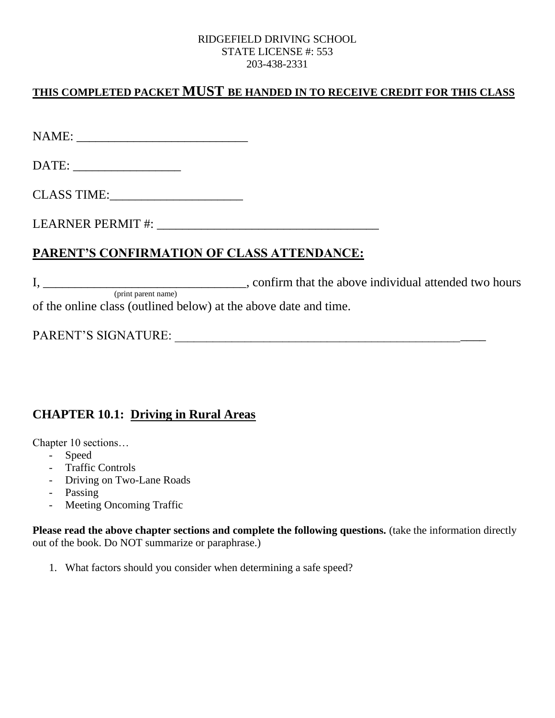#### RIDGEFIELD DRIVING SCHOOL STATE LICENSE #: 553 203-438-2331

## **THIS COMPLETED PACKET MUST BE HANDED IN TO RECEIVE CREDIT FOR THIS CLASS**

NAME: \_\_\_\_\_\_\_\_\_\_\_\_\_\_\_\_\_\_\_\_\_\_\_\_\_\_\_

DATE: \_\_\_\_\_\_\_\_\_\_\_\_\_\_\_\_\_

CLASS TIME:

LEARNER PERMIT #: \_\_\_\_\_\_\_\_\_\_\_\_\_\_\_\_\_\_\_\_\_\_\_\_\_\_\_\_\_\_\_\_\_\_\_

## **PARENT'S CONFIRMATION OF CLASS ATTENDANCE:**

I, \_\_\_\_\_\_\_\_\_\_\_\_\_\_\_\_\_\_\_\_\_\_\_\_\_\_\_\_\_\_\_\_\_\_\_, confirm that the above individual attended two hours (print parent name) of the online class (outlined below) at the above date and time.

# PARENT'S SIGNATURE: \_\_\_\_\_\_\_\_\_\_\_\_\_\_\_\_\_\_\_\_\_\_\_\_\_\_\_\_\_\_\_\_\_\_\_\_\_\_\_\_\_\_\_\_\_\_\_\_\_

### **CHAPTER 10.1: Driving in Rural Areas**

Chapter 10 sections…

- Speed
- Traffic Controls
- Driving on Two-Lane Roads
- Passing
- Meeting Oncoming Traffic

**Please read the above chapter sections and complete the following questions.** (take the information directly out of the book. Do NOT summarize or paraphrase.)

1. What factors should you consider when determining a safe speed?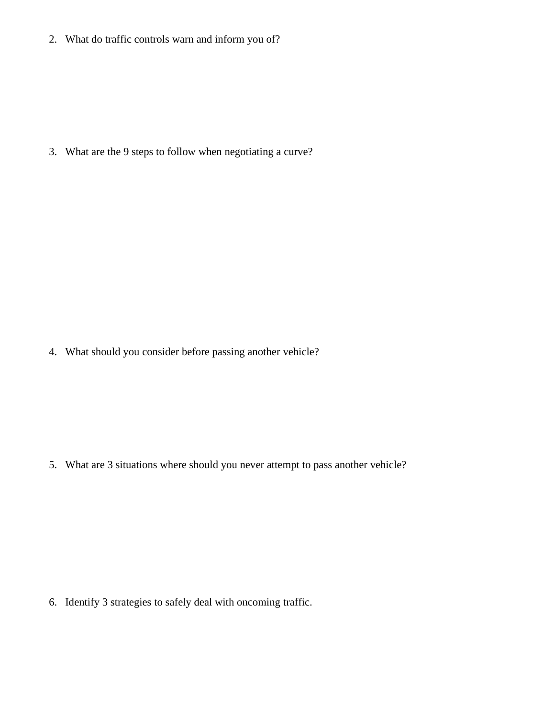2. What do traffic controls warn and inform you of?

3. What are the 9 steps to follow when negotiating a curve?

4. What should you consider before passing another vehicle?

5. What are 3 situations where should you never attempt to pass another vehicle?

6. Identify 3 strategies to safely deal with oncoming traffic.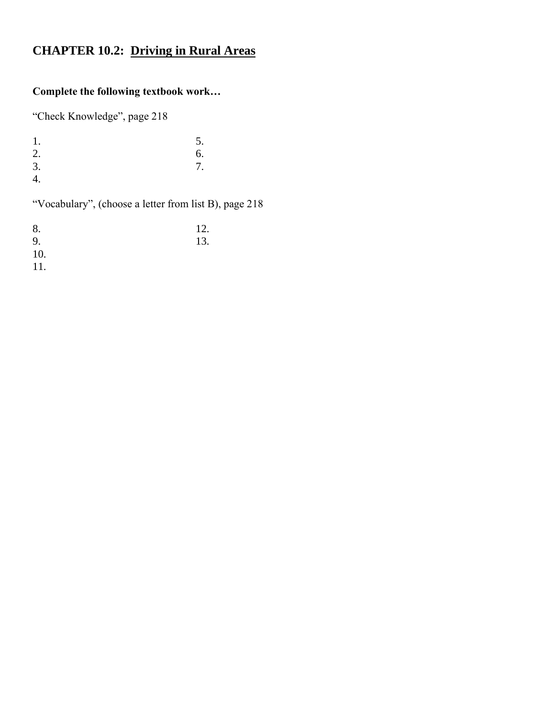## **CHAPTER 10.2: Driving in Rural Areas**

#### **Complete the following textbook work…**

"Check Knowledge", page 218

| 1.             | 5.               |
|----------------|------------------|
|                | 6.               |
| 2.<br>3.<br>4. | $\overline{7}$ . |
|                |                  |

"Vocabulary", (choose a letter from list B), page 218

| 8.  | 12. |
|-----|-----|
| 9.  | 13. |
| 10. |     |
| 11. |     |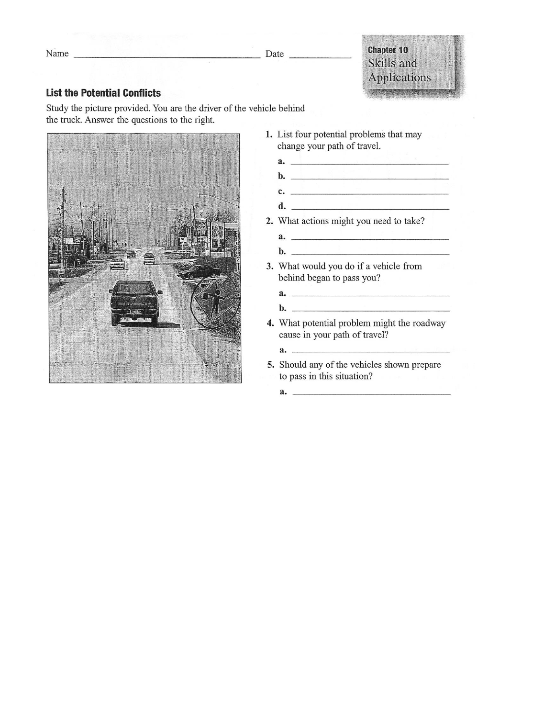Date \_

#### **List the Potential Conflicts**

Study the picture provided. You are the driver of the vehicle behind the truck. Answer the questions to the right.



|  | 1. List four potential problems that may |
|--|------------------------------------------|
|  | change your path of travel.              |

- $a.$  $\mathbf{b}$ .  $\mathbf{c.}$   $\blacksquare$
- $\mathbf{d.}$   $\qquad \qquad$
- 2. What actions might you need to take?
	-
	- $\mathbf{b}$ .
- 3. What would you do if a vehicle from behind began to pass you?

- 4. What potential problem might the roadway cause in your path of travel?
	- $\overline{\mathbf{a}}$ .
- 5. Should any of the vehicles shown prepare to pass in this situation?
	- $a.$   $\qquad \qquad$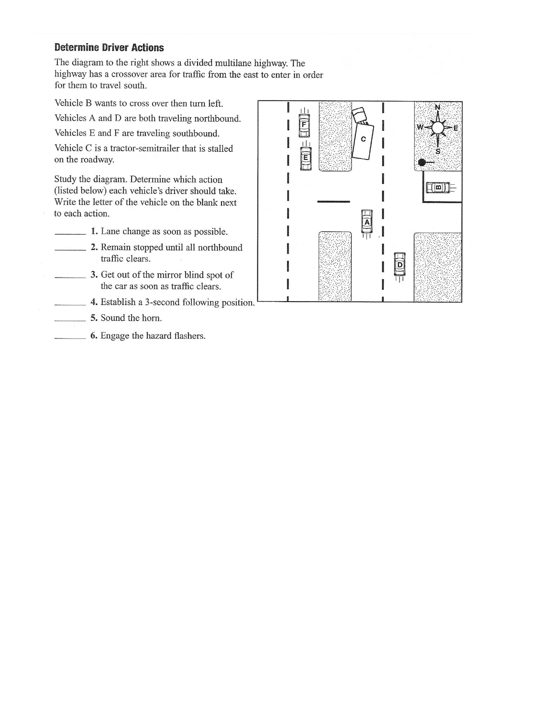#### **Determine Driver Actions**

The diagram to the right shows a divided multilane highway. The highway has a crossover area for traffic from the east to enter in order for them to travel south.

Vehicle B wants to cross over then turn left.

Vehicles A and D are both traveling northbound.

Vehicles E and F are traveling southbound.

Vehicle C is a tractor-semitrailer that is stalled on the roadway.

Study the diagram. Determine which action (listed below) each vehicle's driver should take. Write the letter of the vehicle on the blank next to each action.

1. Lane change as soon as possible.

- 2. Remain stopped until all northbound traffic clears.
- 3. Get out of the mirror blind spot of the car as soon as traffic clears.
- 4. Establish a 3-second following position.
- 5. Sound the horn.
- 6. Engage the hazard flashers.